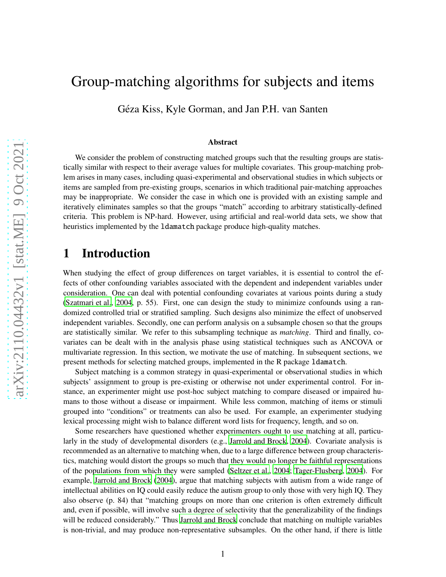# Group-matching algorithms for subjects and items

Géza Kiss, Kyle Gorman, and Jan P.H. van Santen

#### Abstract

We consider the problem of constructing matched groups such that the resulting groups are statistically similar with respect to their average values for multiple covariates. This group-matching problem arises in many cases, including quasi-experimental and observational studies in which subjects or items are sampled from pre-existing groups, scenarios in which traditional pair-matching approaches may be inappropriate. We consider the case in which one is provided with an existing sample and iteratively eliminates samples so that the groups "match" according to arbitrary statistically-defined criteria. This problem is NP-hard. However, using artificial and real-world data sets, we show that heuristics implemented by the ldamatch package produce high-quality matches.

## 1 Introduction

When studying the effect of group differences on target variables, it is essential to control the effects of other confounding variables associated with the dependent and independent variables under consideration. One can deal with potential confounding covariates at various points during a study [\(Szatmari et al., 2004](#page-16-0), p. 55). First, one can design the study to minimize confounds using a randomized controlled trial or stratified sampling. Such designs also minimize the effect of unobserved independent variables. Secondly, one can perform analysis on a subsample chosen so that the groups are statistically similar. We refer to this subsampling technique as *matching*. Third and finally, covariates can be dealt with in the analysis phase using statistical techniques such as ANCOVA or multivariate regression. In this section, we motivate the use of matching. In subsequent sections, we present methods for selecting matched groups, implemented in the R package ldamatch.

Subject matching is a common strategy in quasi-experimental or observational studies in which subjects' assignment to group is pre-existing or otherwise not under experimental control. For instance, an experimenter might use post-hoc subject matching to compare diseased or impaired humans to those without a disease or impairment. While less common, matching of items or stimuli grouped into "conditions" or treatments can also be used. For example, an experimenter studying lexical processing might wish to balance different word lists for frequency, length, and so on.

Some researchers have questioned whether experimenters ought to use matching at all, particularly in the study of developmental disorders (e.g., [Jarrold and Brock](#page-15-0), [2004](#page-15-0)). Covariate analysis is recommended as an alternative to matching when, due to a large difference between group characteristics, matching would distort the groups so much that they would no longer be faithful representations of the populations from which they were sampled [\(Seltzer et al., 2004;](#page-16-1) [Tager-Flusberg](#page-16-2), [2004](#page-16-2)). For example, [Jarrold and Brock \(2004\)](#page-15-0), argue that matching subjects with autism from a wide range of intellectual abilities on IQ could easily reduce the autism group to only those with very high IQ. They also observe (p. 84) that "matching groups on more than one criterion is often extremely difficult and, even if possible, will involve such a degree of selectivity that the generalizability of the findings will be reduced considerably." Thus [Jarrold and Brock](#page-15-0) conclude that matching on multiple variables is non-trivial, and may produce non-representative subsamples. On the other hand, if there is little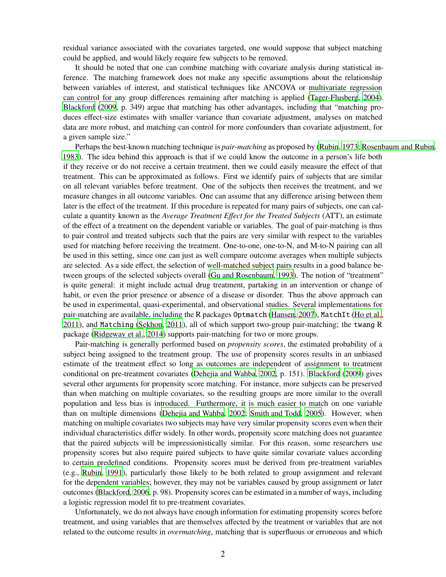residual variance associated with the covariates targeted, one would suppose that subject matching could be applied, and would likely require few subjects to be removed.

It should be noted that one can combine matching with covariate analysis during statistical inference. The matching framework does not make any specific assumptions about the relationship between variables of interest, and statistical techniques like ANCOVA or multivariate regression can control for any group differences remaining after matching is applied [\(Tager-Flusberg](#page-16-2), [2004](#page-16-2)). [Blackford \(2009](#page-14-0), p. 349) argue that matching has other advantages, including that "matching produces effect-size estimates with smaller variance than covariate adjustment, analyses on matched data are more robust, and matching can control for more confounders than covariate adjustment, for a given sample size."

Perhaps the best-known matching technique is *pair-matching* as proposed by [\(Rubin](#page-15-1), [1973;](#page-15-1) [Rosenbaum and Rubin](#page-15-2), [1983\)](#page-15-2). The idea behind this approach is that if we could know the outcome in a person's life both if they receive or do not receive a certain treatment, then we could easily measure the effect of that treatment. This can be approximated as follows. First we identify pairs of subjects that are similar on all relevant variables before treatment. One of the subjects then receives the treatment, and we measure changes in all outcome variables. One can assume that any difference arising between them later is the effect of the treatment. If this procedure is repeated for many pairs of subjects, one can calculate a quantity known as the *Average Treatment E*ff*ect for the Treated Subjects* (ATT), an estimate of the effect of a treatment on the dependent variable or variables. The goal of pair-matching is thus to pair control and treated subjects such that the pairs are very similar with respect to the variables used for matching before receiving the treatment. One-to-one, one-to-N, and M-to-N pairing can all be used in this setting, since one can just as well compare outcome averages when multiple subjects are selected. As a side effect, the selection of well-matched subject pairs results in a good balance between groups of the selected subjects overall [\(Gu and Rosenbaum](#page-14-1), [1993](#page-14-1)). The notion of "treatment" is quite general: it might include actual drug treatment, partaking in an intervention or change of habit, or even the prior presence or absence of a disease or disorder. Thus the above approach can be used in experimental, quasi-experimental, and observational studies. Several implementations for pair-matching are available, including the R packages Optmatch [\(Hansen](#page-14-2), [2007\)](#page-14-2), MatchIt [\(Ho et al.,](#page-15-3) [2011](#page-15-3)), and Matching [\(Sekhon, 2011\)](#page-15-4), all of which support two-group pair-matching; the twang R package [\(Ridgeway et al., 2014](#page-15-5)) supports pair-matching for two or more groups.

Pair-matching is generally performed based on *propensity scores*, the estimated probability of a subject being assigned to the treatment group. The use of propensity scores results in an unbiased estimate of the treatment effect so long as outcomes are independent of assignment to treatment conditional on pre-treatment covariates [\(Dehejia and Wahba, 2002](#page-14-3), p. 151). [Blackford \(2009](#page-14-0)) gives several other arguments for propensity score matching. For instance, more subjects can be preserved than when matching on multiple covariates, so the resulting groups are more similar to the overall population and less bias is introduced. Furthermore, it is much easier to match on one variable than on multiple dimensions [\(Dehejia and Wahba, 2002](#page-14-3); Smith [and Todd](#page-16-3), [2005](#page-16-3)). However, when matching on multiple covariates two subjects may have very similar propensity scores even when their individual characteristics differ widely. In other words, propensity score matching does not guarantee that the paired subjects will be impressionistically similar. For this reason, some researchers use propensity scores but also require paired subjects to have quite similar covariate values according to certain predefined conditions. Propensity scores must be derived from pre-treatment variables (e.g., [Rubin](#page-15-6), [1991](#page-15-6)), particularly those likely to be both related to group assignment and relevant for the dependent variables; however, they may not be variables caused by group assignment or later outcomes [\(Blackford](#page-14-4), [2006](#page-14-4), p. 98). Propensity scores can be estimated in a number of ways, including a logistic regression model fit to pre-treatment covariates.

Unfortunately, we do not always have enough information for estimating propensity scores before treatment, and using variables that are themselves affected by the treatment or variables that are not related to the outcome results in *overmatching*, matching that is superfluous or erroneous and which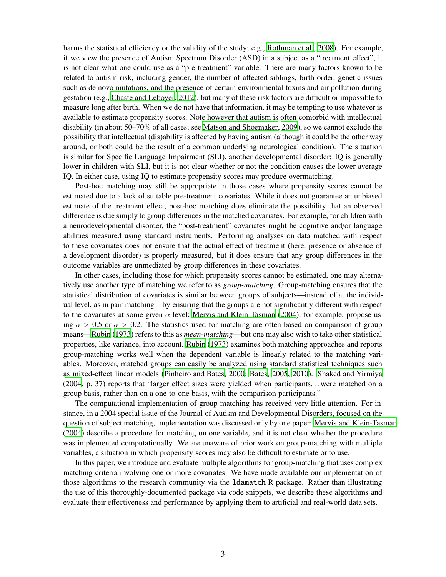harms the statistical efficiency or the validity of the study; e.g., [Rothman et al., 2008](#page-15-7)). For example, if we view the presence of Autism Spectrum Disorder (ASD) in a subject as a "treatment effect", it is not clear what one could use as a "pre-treatment" variable. There are many factors known to be related to autism risk, including gender, the number of affected siblings, birth order, genetic issues such as de novo mutations, and the presence of certain environmental toxins and air pollution during gestation (e.g., [Chaste and Leboyer, 2012\)](#page-14-5), but many of these risk factors are difficult or impossible to measure long after birth. When we do not have that information, it may be tempting to use whatever is available to estimate propensity scores. Note however that autism is often comorbid with intellectual disability (in about 50–70% of all cases; see [Matson and Shoemaker](#page-15-8), [2009](#page-15-8)), so we cannot exclude the possibility that intellectual (dis)ability is affected by having autism (although it could be the other way around, or both could be the result of a common underlying neurological condition). The situation is similar for Specific Language Impairment (SLI), another developmental disorder: IQ is generally lower in children with SLI, but it is not clear whether or not the condition causes the lower average IQ. In either case, using IQ to estimate propensity scores may produce overmatching.

Post-hoc matching may still be appropriate in those cases where propensity scores cannot be estimated due to a lack of suitable pre-treatment covariates. While it does not guarantee an unbiased estimate of the treatment effect, post-hoc matching does eliminate the possibility that an observed difference is due simply to group differences in the matched covariates. For example, for children with a neurodevelopmental disorder, the "post-treatment" covariates might be cognitive and/or language abilities measured using standard instruments. Performing analyses on data matched with respect to these covariates does not ensure that the actual effect of treatment (here, presence or absence of a development disorder) is properly measured, but it does ensure that any group differences in the outcome variables are unmediated by group differences in these covariates.

In other cases, including those for which propensity scores cannot be estimated, one may alternatively use another type of matching we refer to as *group-matching*. Group-matching ensures that the statistical distribution of covariates is similar between groups of subjects—instead of at the individual level, as in pair-matching—by ensuring that the groups are not significantly different with respect to the covariates at some given  $\alpha$ -level; [Mervis and Klein-Tasman \(2004\)](#page-15-9), for example, propose using  $\alpha > 0.5$  or  $\alpha > 0.2$ . The statistics used for matching are often based on comparison of group means[—Rubin \(1973\)](#page-15-1) refers to this as *mean-matching*—but one may also wish to take other statistical properties, like variance, into account. [Rubin](#page-15-1) [\(1973](#page-15-1)) examines both matching approaches and reports group-matching works well when the dependent variable is linearly related to the matching variables. Moreover, matched groups can easily be analyzed using standard statistical techniques such as mixed-effect linear models [\(Pinheiro and Bates, 2000](#page-15-10); [Bates](#page-14-6), [2005](#page-14-6), [2010](#page-14-7)). [Shaked and Yirmiya](#page-16-4) [\(2004,](#page-16-4) p. 37) reports that "larger effect sizes were yielded when participants. . . were matched on a group basis, rather than on a one-to-one basis, with the comparison participants."

The computational implementation of group-matching has received very little attention. For instance, in a 2004 special issue of the Journal of Autism and Developmental Disorders, focused on the question of subject matching, implementation was discussed only by one paper: [Mervis and Klein-Tasman](#page-15-9) [\(2004\)](#page-15-9) describe a procedure for matching on one variable, and it is not clear whether the procedure was implemented computationally. We are unaware of prior work on group-matching with multiple variables, a situation in which propensity scores may also be difficult to estimate or to use.

In this paper, we introduce and evaluate multiple algorithms for group-matching that uses complex matching criteria involving one or more covariates. We have made available our implementation of those algorithms to the research community via the ldamatch R package. Rather than illustrating the use of this thoroughly-documented package via code snippets, we describe these algorithms and evaluate their effectiveness and performance by applying them to artificial and real-world data sets.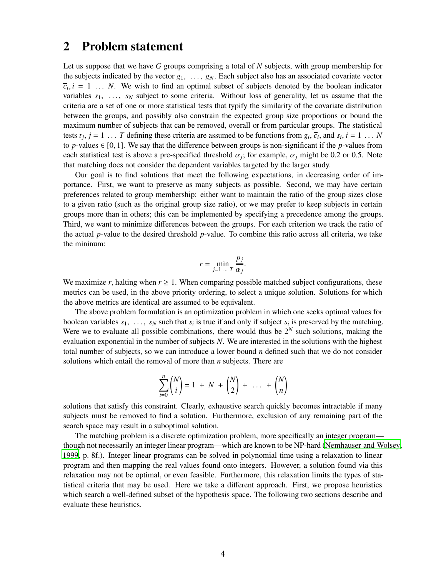### 2 Problem statement

Let us suppose that we have *G* groups comprising a total of *N* subjects, with group membership for the subjects indicated by the vector  $g_1$ , ...,  $g_N$ . Each subject also has an associated covariate vector  $\overline{c}_i$ ,  $i = 1 \ldots N$ . We wish to find an optimal subset of subjects denoted by the boolean indicator variables  $s_1$ , ...,  $s_N$  subject to some criteria. Without loss of generality, let us assume that the criteria are a set of one or more statistical tests that typify the similarity of the covariate distribution between the groups, and possibly also constrain the expected group size proportions or bound the maximum number of subjects that can be removed, overall or from particular groups. The statistical tests  $t_j$ ,  $j = 1, \ldots, T$  defining these criteria are assumed to be functions from  $g_i$ ,  $\overline{c}_i$ , and  $s_i$ ,  $i = 1, \ldots, N$ to *p*-values  $\in [0, 1]$ . We say that the difference between groups is non-significant if the *p*-values from each statistical test is above a pre-specified threshold  $\alpha_j$ ; for example,  $\alpha_j$  might be 0.2 or 0.5. Note that matching does not consider the dependent variables targeted by the larger study.

Our goal is to find solutions that meet the following expectations, in decreasing order of importance. First, we want to preserve as many subjects as possible. Second, we may have certain preferences related to group membership: either want to maintain the ratio of the group sizes close to a given ratio (such as the original group size ratio), or we may prefer to keep subjects in certain groups more than in others; this can be implemented by specifying a precedence among the groups. Third, we want to minimize differences between the groups. For each criterion we track the ratio of the actual *p*-value to the desired threshold *p*-value. To combine this ratio across all criteria, we take the mininum:

$$
r = \min_{j=1 \dots T} \frac{p_j}{\alpha_j}.
$$

We maximize *r*, halting when  $r \geq 1$ . When comparing possible matched subject configurations, these metrics can be used, in the above priority ordering, to select a unique solution. Solutions for which the above metrics are identical are assumed to be equivalent.

The above problem formulation is an optimization problem in which one seeks optimal values for boolean variables  $s_1$ , ...,  $s_N$  such that  $s_i$  is true if and only if subject  $s_i$  is preserved by the matching. Were we to evaluate all possible combinations, there would thus be  $2^N$  such solutions, making the evaluation exponential in the number of subjects *N*. We are interested in the solutions with the highest total number of subjects, so we can introduce a lower bound *n* defined such that we do not consider solutions which entail the removal of more than *n* subjects. There are

$$
\sum_{i=0}^{n} {N \choose i} = 1 + N + {N \choose 2} + \dots + {N \choose n}
$$

solutions that satisfy this constraint. Clearly, exhaustive search quickly becomes intractable if many subjects must be removed to find a solution. Furthermore, exclusion of any remaining part of the search space may result in a suboptimal solution.

The matching problem is a discrete optimization problem, more specifically an integer program though not necessarily an integer linear program—which are known to be NP-hard [\(Nemhauser and Wolsey](#page-15-11), [1999,](#page-15-11) p. 8f.). Integer linear programs can be solved in polynomial time using a relaxation to linear program and then mapping the real values found onto integers. However, a solution found via this relaxation may not be optimal, or even feasible. Furthermore, this relaxation limits the types of statistical criteria that may be used. Here we take a different approach. First, we propose heuristics which search a well-defined subset of the hypothesis space. The following two sections describe and evaluate these heuristics.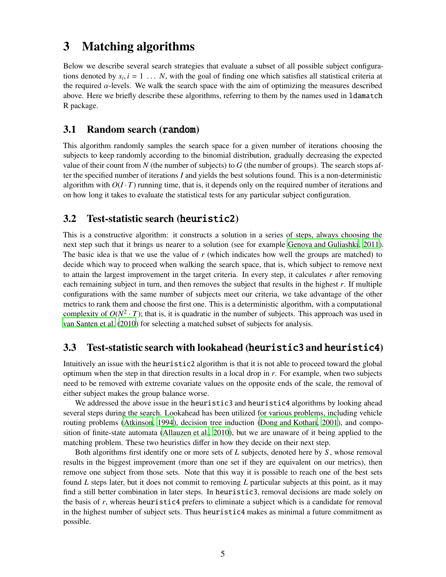## 3 Matching algorithms

Below we describe several search strategies that evaluate a subset of all possible subject configurations denoted by  $s_i$ ,  $i = 1, ..., N$ , with the goal of finding one which satisfies all statistical criteria at the required  $\alpha$ -levels. We walk the search space with the aim of optimizing the measures described above. Here we briefly describe these algorithms, referring to them by the names used in ldamatch R package.

#### 3.1 Random search (random)

This algorithm randomly samples the search space for a given number of iterations choosing the subjects to keep randomly according to the binomial distribution, gradually decreasing the expected value of their count from *N* (the number of subjects) to *G* (the number of groups). The search stops after the specified number of iterations *I* and yields the best solutions found. This is a non-deterministic algorithm with  $O(I \cdot T)$  running time, that is, it depends only on the required number of iterations and on how long it takes to evaluate the statistical tests for any particular subject configuration.

### 3.2 Test-statistic search (heuristic2)

This is a constructive algorithm: it constructs a solution in a series of steps, always choosing the next step such that it brings us nearer to a solution (see for example [Genova and Guliashki](#page-14-8), [2011](#page-14-8)). The basic idea is that we use the value of *r* (which indicates how well the groups are matched) to decide which way to proceed when walking the search space, that is, which subject to remove next to attain the largest improvement in the target criteria. In every step, it calculates *r* after removing each remaining subject in turn, and then removes the subject that results in the highest *r*. If multiple configurations with the same number of subjects meet our criteria, we take advantage of the other metrics to rank them and choose the first one. This is a deterministic algorithm, with a computational complexity of  $O(N^2 \cdot T)$ ; that is, it is quadratic in the number of subjects. This approach was used in [van Santen et al.](#page-15-12) [\(2010](#page-15-12)) for selecting a matched subset of subjects for analysis.

### 3.3 Test-statistic search with lookahead (heuristic3 and heuristic4)

Intuitively an issue with the heuristic2 algorithm is that it is not able to proceed toward the global optimum when the step in that direction results in a local drop in *r*. For example, when two subjects need to be removed with extreme covariate values on the opposite ends of the scale, the removal of either subject makes the group balance worse.

We addressed the above issue in the heuristic3 and heuristic4 algorithms by looking ahead several steps during the search. Lookahead has been utilized for various problems, including vehicle routing problems [\(Atkinson, 1994](#page-13-0)), decision tree induction [\(Dong and Kothari](#page-14-9), [2001\)](#page-14-9), and composition of finite-state automata [\(Allauzen et al., 2010\)](#page-13-1), but we are unaware of it being applied to the matching problem. These two heuristics differ in how they decide on their next step.

Both algorithms first identify one or more sets of *L* subjects, denoted here by *S* , whose removal results in the biggest improvement (more than one set if they are equivalent on our metrics), then remove one subject from those sets. Note that this way it is possible to reach one of the best sets found *L* steps later, but it does not commit to removing *L* particular subjects at this point, as it may find a still better combination in later steps. In heuristic3, removal decisions are made solely on the basis of *r*, whereas heuristic4 prefers to eliminate a subject which is a candidate for removal in the highest number of subject sets. Thus heuristic4 makes as minimal a future commitment as possible.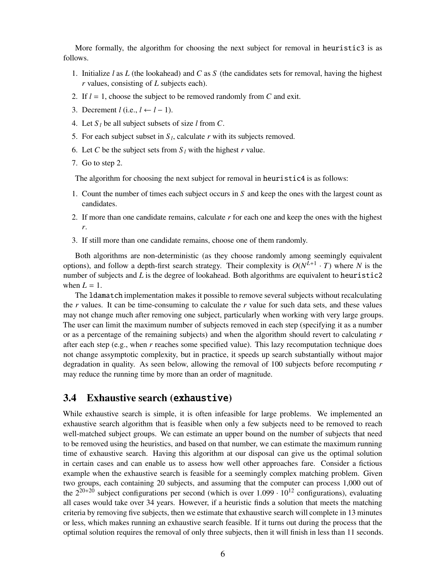More formally, the algorithm for choosing the next subject for removal in heuristic3 is as follows.

- 1. Initialize *l* as *L* (the lookahead) and *C* as *S* (the candidates sets for removal, having the highest *r* values, consisting of *L* subjects each).
- 2. If *l* = 1, choose the subject to be removed randomly from *C* and exit.
- 3. Decrement  $l$  (i.e.,  $l \leftarrow l 1$ ).
- 4. Let *S <sup>l</sup>* be all subject subsets of size *l* from *C*.
- 5. For each subject subset in  $S_l$ , calculate  $r$  with its subjects removed.
- 6. Let *C* be the subject sets from  $S_l$  with the highest *r* value.
- 7. Go to step 2.

The algorithm for choosing the next subject for removal in heuristic4 is as follows:

- 1. Count the number of times each subject occurs in *S* and keep the ones with the largest count as candidates.
- 2. If more than one candidate remains, calculate *r* for each one and keep the ones with the highest *r*.
- 3. If still more than one candidate remains, choose one of them randomly.

Both algorithms are non-deterministic (as they choose randomly among seemingly equivalent options), and follow a depth-first search strategy. Their complexity is  $O(N^{L+1} \cdot T)$  where N is the number of subjects and *L* is the degree of lookahead. Both algorithms are equivalent to heuristic2 when  $L = 1$ .

The ldamatch implementation makes it possible to remove several subjects without recalculating the *r* values. It can be time-consuming to calculate the *r* value for such data sets, and these values may not change much after removing one subject, particularly when working with very large groups. The user can limit the maximum number of subjects removed in each step (specifying it as a number or as a percentage of the remaining subjects) and when the algorithm should revert to calculating *r* after each step (e.g., when *r* reaches some specified value). This lazy recomputation technique does not change assymptotic complexity, but in practice, it speeds up search substantially without major degradation in quality. As seen below, allowing the removal of 100 subjects before recomputing *r* may reduce the running time by more than an order of magnitude.

#### 3.4 Exhaustive search (exhaustive)

While exhaustive search is simple, it is often infeasible for large problems. We implemented an exhaustive search algorithm that is feasible when only a few subjects need to be removed to reach well-matched subject groups. We can estimate an upper bound on the number of subjects that need to be removed using the heuristics, and based on that number, we can estimate the maximum running time of exhaustive search. Having this algorithm at our disposal can give us the optimal solution in certain cases and can enable us to assess how well other approaches fare. Consider a fictious example when the exhaustive search is feasible for a seemingly complex matching problem. Given two groups, each containing 20 subjects, and assuming that the computer can process 1,000 out of the  $2^{20+20}$  subject configurations per second (which is over 1.099  $\cdot$  10<sup>12</sup> configurations), evaluating all cases would take over 34 years. However, if a heuristic finds a solution that meets the matching criteria by removing five subjects, then we estimate that exhaustive search will complete in 13 minutes or less, which makes running an exhaustive search feasible. If it turns out during the process that the optimal solution requires the removal of only three subjects, then it will finish in less than 11 seconds.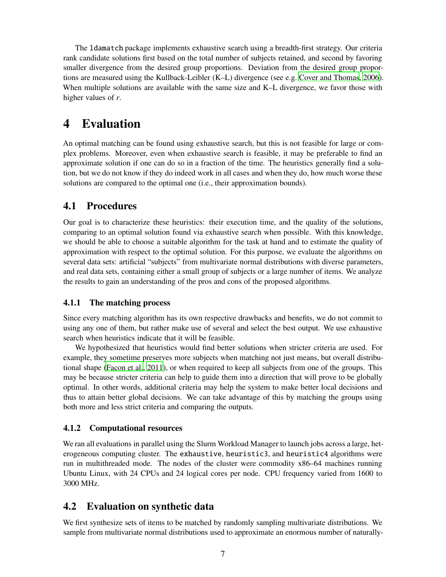The ldamatch package implements exhaustive search using a breadth-first strategy. Our criteria rank candidate solutions first based on the total number of subjects retained, and second by favoring smaller divergence from the desired group proportions. Deviation from the desired group proportions are measured using the Kullback-Leibler (K–L) divergence (see e.g. [Cover and Thomas](#page-14-10), [2006](#page-14-10)). When multiple solutions are available with the same size and K–L divergence, we favor those with higher values of *r*.

## 4 Evaluation

An optimal matching can be found using exhaustive search, but this is not feasible for large or complex problems. Moreover, even when exhaustive search is feasible, it may be preferable to find an approximate solution if one can do so in a fraction of the time. The heuristics generally find a solution, but we do not know if they do indeed work in all cases and when they do, how much worse these solutions are compared to the optimal one (i.e., their approximation bounds).

### 4.1 Procedures

Our goal is to characterize these heuristics: their execution time, and the quality of the solutions, comparing to an optimal solution found via exhaustive search when possible. With this knowledge, we should be able to choose a suitable algorithm for the task at hand and to estimate the quality of approximation with respect to the optimal solution. For this purpose, we evaluate the algorithms on several data sets: artificial "subjects" from multivariate normal distributions with diverse parameters, and real data sets, containing either a small group of subjects or a large number of items. We analyze the results to gain an understanding of the pros and cons of the proposed algorithms.

### 4.1.1 The matching process

Since every matching algorithm has its own respective drawbacks and benefits, we do not commit to using any one of them, but rather make use of several and select the best output. We use exhaustive search when heuristics indicate that it will be feasible.

We hypothesized that heuristics would find better solutions when stricter criteria are used. For example, they sometime preserves more subjects when matching not just means, but overall distributional shape [\(Facon et al.](#page-14-11), [2011](#page-14-11)), or when required to keep all subjects from one of the groups. This may be because stricter criteria can help to guide them into a direction that will prove to be globally optimal. In other words, additional criteria may help the system to make better local decisions and thus to attain better global decisions. We can take advantage of this by matching the groups using both more and less strict criteria and comparing the outputs.

### 4.1.2 Computational resources

We ran all evaluations in parallel using the Slurm Workload Manager to launch jobs across a large, heterogeneous computing cluster. The exhaustive, heuristic3, and heuristic4 algorithms were run in multithreaded mode. The nodes of the cluster were commodity x86–64 machines running Ubuntu Linux, with 24 CPUs and 24 logical cores per node. CPU frequency varied from 1600 to 3000 MHz.

### 4.2 Evaluation on synthetic data

We first synthesize sets of items to be matched by randomly sampling multivariate distributions. We sample from multivariate normal distributions used to approximate an enormous number of naturally-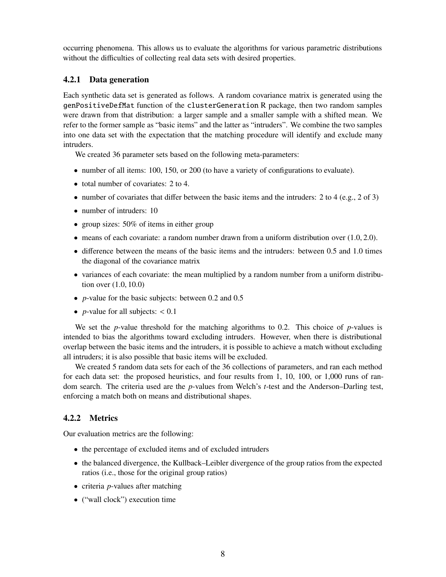occurring phenomena. This allows us to evaluate the algorithms for various parametric distributions without the difficulties of collecting real data sets with desired properties.

#### 4.2.1 Data generation

Each synthetic data set is generated as follows. A random covariance matrix is generated using the genPositiveDefMat function of the clusterGeneration R package, then two random samples were drawn from that distribution: a larger sample and a smaller sample with a shifted mean. We refer to the former sample as "basic items" and the latter as "intruders". We combine the two samples into one data set with the expectation that the matching procedure will identify and exclude many intruders.

We created 36 parameter sets based on the following meta-parameters:

- number of all items: 100, 150, or 200 (to have a variety of configurations to evaluate).
- total number of covariates: 2 to 4.
- number of covariates that differ between the basic items and the intruders: 2 to 4 (e.g., 2 of 3)
- number of intruders: 10
- group sizes: 50% of items in either group
- $\bullet$  means of each covariate: a random number drawn from a uniform distribution over  $(1.0, 2.0)$ .
- difference between the means of the basic items and the intruders: between 0.5 and 1.0 times the diagonal of the covariance matrix
- variances of each covariate: the mean multiplied by a random number from a uniform distribution over (1.0, 10.0)
- *p*-value for the basic subjects: between 0.2 and 0.5
- *p*-value for all subjects:  $< 0.1$

We set the *p*-value threshold for the matching algorithms to 0.2. This choice of *p*-values is intended to bias the algorithms toward excluding intruders. However, when there is distributional overlap between the basic items and the intruders, it is possible to achieve a match without excluding all intruders; it is also possible that basic items will be excluded.

We created 5 random data sets for each of the 36 collections of parameters, and ran each method for each data set: the proposed heuristics, and four results from 1, 10, 100, or 1,000 runs of random search. The criteria used are the *p*-values from Welch's *t*-test and the Anderson–Darling test, enforcing a match both on means and distributional shapes.

#### 4.2.2 Metrics

Our evaluation metrics are the following:

- the percentage of excluded items and of excluded intruders
- the balanced divergence, the Kullback–Leibler divergence of the group ratios from the expected ratios (i.e., those for the original group ratios)
- criteria *p*-values after matching
- ("wall clock") execution time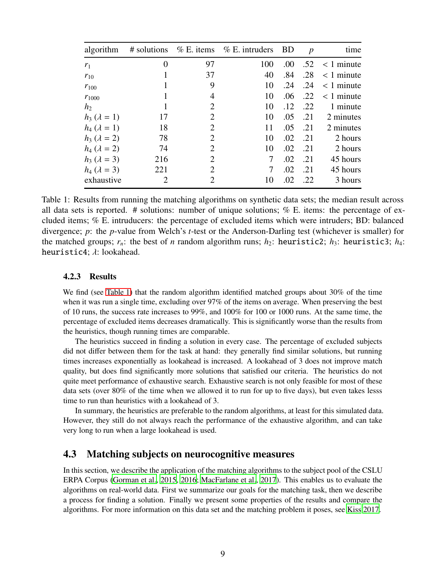| algorithm               |                |                | # solutions $\%$ E. items $\%$ E. intruders | BD   | $\boldsymbol{p}$ | time                |
|-------------------------|----------------|----------------|---------------------------------------------|------|------------------|---------------------|
| $r_1$                   | 0              | 97             | 100                                         | .00. |                  | $.52 \leq 1$ minute |
| $r_{10}$                | 1              | 37             | 40                                          | .84  | .28              | $< 1$ minute        |
| $r_{100}$               |                | 9              | 10                                          | .24  | .24              | $< 1$ minute        |
| $r_{1000}$              | 1              | 4              | 10                                          | .06  | .22              | $< 1$ minute        |
| h <sub>2</sub>          | 1              | 2              | 10                                          | .12  | .22              | 1 minute            |
| $h_3$ ( $\lambda = 1$ ) | 17             | $\overline{2}$ | 10                                          | .05  | .21              | 2 minutes           |
| $h_4 (\lambda = 1)$     | 18             | 2              | 11                                          | .05  | .21              | 2 minutes           |
| $h_3$ ( $\lambda = 2$ ) | 78             | 2              | 10                                          | .02  | .21              | 2 hours             |
| $h_4$ ( $\lambda = 2$ ) | 74             | $\overline{2}$ | 10                                          | .02  | .21              | 2 hours             |
| $h_3 (\lambda = 3)$     | 216            | 2              | 7                                           | .02  | .21              | 45 hours            |
| $h_4$ ( $\lambda = 3$ ) | 221            | 2              | 7                                           | .02  | .21              | 45 hours            |
| exhaustive              | $\overline{2}$ | $\overline{c}$ | 10                                          | .02  | .22              | 3 hours             |

<span id="page-8-0"></span>Table 1: Results from running the matching algorithms on synthetic data sets; the median result across all data sets is reported. # solutions: number of unique solutions; % E. items: the percentage of excluded items; % E. intruducers: the percentage of excluded items which were intruders; BD: balanced divergence; *p*: the *p*-value from Welch's *t*-test or the Anderson-Darling test (whichever is smaller) for the matched groups;  $r_n$ : the best of *n* random algorithm runs;  $h_2$ : heuristic2;  $h_3$ : heuristic3;  $h_4$ : heuristic4;  $\lambda$ : lookahead.

#### 4.2.3 Results

We find (see [Table 1\)](#page-8-0) that the random algorithm identified matched groups about 30% of the time when it was run a single time, excluding over 97% of the items on average. When preserving the best of 10 runs, the success rate increases to 99%, and 100% for 100 or 1000 runs. At the same time, the percentage of excluded items decreases dramatically. This is significantly worse than the results from the heuristics, though running times are comparable.

The heuristics succeed in finding a solution in every case. The percentage of excluded subjects did not differ between them for the task at hand: they generally find similar solutions, but running times increases exponentially as lookahead is increased. A lookahead of 3 does not improve match quality, but does find significantly more solutions that satisfied our criteria. The heuristics do not quite meet performance of exhaustive search. Exhaustive search is not only feasible for most of these data sets (over 80% of the time when we allowed it to run for up to five days), but even takes lesss time to run than heuristics with a lookahead of 3.

In summary, the heuristics are preferable to the random algorithms, at least for this simulated data. However, they still do not always reach the performance of the exhaustive algorithm, and can take very long to run when a large lookahead is used.

#### 4.3 Matching subjects on neurocognitive measures

In this section, we describe the application of the matching algorithms to the subject pool of the CSLU ERPA Corpus [\(Gorman et al., 2015](#page-14-12), [2016](#page-14-13); [MacFarlane et al., 2017](#page-15-13)). This enables us to evaluate the algorithms on real-world data. First we summarize our goals for the matching task, then we describe a process for finding a solution. Finally we present some properties of the results and compare the algorithms. For more information on this data set and the matching problem it poses, see [Kiss 2017](#page-15-14).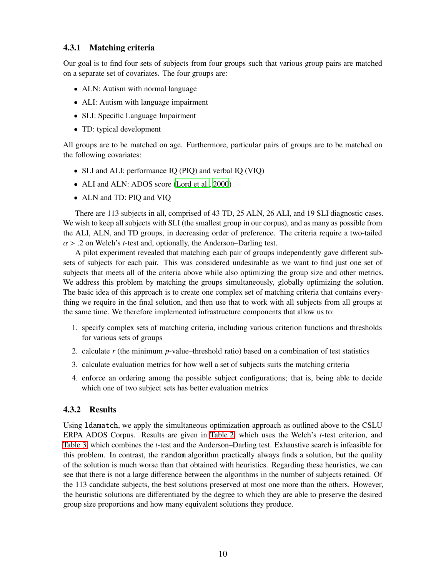#### 4.3.1 Matching criteria

Our goal is to find four sets of subjects from four groups such that various group pairs are matched on a separate set of covariates. The four groups are:

- ALN: Autism with normal language
- ALI: Autism with language impairment
- SLI: Specific Language Impairment
- TD: typical development

All groups are to be matched on age. Furthermore, particular pairs of groups are to be matched on the following covariates:

- SLI and ALI: performance IQ (PIQ) and verbal IQ (VIQ)
- ALI and ALN: ADOS score [\(Lord et al.](#page-15-15), [2000](#page-15-15))
- ALN and TD: PIQ and VIQ

There are 113 subjects in all, comprised of 43 TD, 25 ALN, 26 ALI, and 19 SLI diagnostic cases. We wish to keep all subjects with SLI (the smallest group in our corpus), and as many as possible from the ALI, ALN, and TD groups, in decreasing order of preference. The criteria require a two-tailed  $\alpha$  > .2 on Welch's *t*-test and, optionally, the Anderson–Darling test.

A pilot experiment revealed that matching each pair of groups independently gave different subsets of subjects for each pair. This was considered undesirable as we want to find just one set of subjects that meets all of the criteria above while also optimizing the group size and other metrics. We address this problem by matching the groups simultaneously, globally optimizing the solution. The basic idea of this approach is to create one complex set of matching criteria that contains everything we require in the final solution, and then use that to work with all subjects from all groups at the same time. We therefore implemented infrastructure components that allow us to:

- 1. specify complex sets of matching criteria, including various criterion functions and thresholds for various sets of groups
- 2. calculate *r* (the minimum *p*-value–threshold ratio) based on a combination of test statistics
- 3. calculate evaluation metrics for how well a set of subjects suits the matching criteria
- 4. enforce an ordering among the possible subject configurations; that is, being able to decide which one of two subject sets has better evaluation metrics

#### 4.3.2 Results

Using ldamatch, we apply the simultaneous optimization approach as outlined above to the CSLU ERPA ADOS Corpus. Results are given in [Table 2,](#page-10-0) which uses the Welch's *t*-test criterion, and [Table 3,](#page-10-1) which combines the *t*-test and the Anderson–Darling test. Exhaustive search is infeasible for this problem. In contrast, the random algorithm practically always finds a solution, but the quality of the solution is much worse than that obtained with heuristics. Regarding these heuristics, we can see that there is not a large difference between the algorithms in the number of subjects retained. Of the 113 candidate subjects, the best solutions preserved at most one more than the others. However, the heuristic solutions are differentiated by the degree to which they are able to preserve the desired group size proportions and how many equivalent solutions they produce.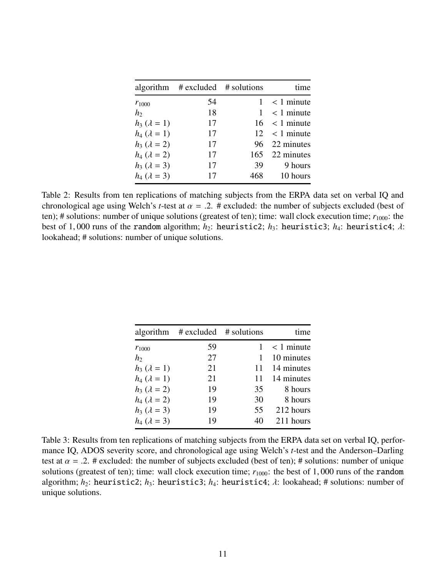|                         | algorithm $\#$ excluded $\#$ solutions |     | time               |
|-------------------------|----------------------------------------|-----|--------------------|
| $r_{1000}$              | 54                                     |     | $< 1$ minute       |
| h <sub>2</sub>          | 18                                     |     | $< 1$ minute       |
| $h_3$ ( $\lambda = 1$ ) | 17                                     |     | $16 \leq 1$ minute |
| $h_4 (\lambda = 1)$     | 17                                     |     | $12 \leq l$ minute |
| $h_3 (\lambda = 2)$     | 17                                     |     | 96 22 minutes      |
| $h_4$ ( $\lambda = 2$ ) | 17                                     |     | 165 22 minutes     |
| $h_3 (\lambda = 3)$     | 17                                     | 39  | 9 hours            |
| $h_4$ ( $\lambda = 3$ ) | 17                                     | 468 | 10 hours           |

<span id="page-10-0"></span>Table 2: Results from ten replications of matching subjects from the ERPA data set on verbal IQ and chronological age using Welch's *t*-test at  $\alpha = .2$ . # excluded: the number of subjects excluded (best of ten); # solutions: number of unique solutions (greatest of ten); time: wall clock execution time;  $r_{1000}$ : the best of 1,000 runs of the random algorithm;  $h_2$ : heuristic2;  $h_3$ : heuristic3;  $h_4$ : heuristic4;  $\lambda$ : lookahead; # solutions: number of unique solutions.

|                         | algorithm $\#$ excluded $\#$ solutions |    | time         |
|-------------------------|----------------------------------------|----|--------------|
| $r_{1000}$              | 59                                     |    | $< 1$ minute |
| h <sub>2</sub>          | 27                                     |    | 10 minutes   |
| $h_3$ ( $\lambda = 1$ ) | 21                                     | 11 | 14 minutes   |
| $h_4 (\lambda = 1)$     | 21                                     | 11 | 14 minutes   |
| $h_3$ ( $\lambda = 2$ ) | 19                                     | 35 | 8 hours      |
| $h_4$ ( $\lambda = 2$ ) | 19                                     | 30 | 8 hours      |
| $h_3 (\lambda = 3)$     | 19                                     | 55 | 212 hours    |
| $h_4$ ( $\lambda = 3$ ) | 19                                     | 40 | 211 hours    |
|                         |                                        |    |              |

<span id="page-10-1"></span>Table 3: Results from ten replications of matching subjects from the ERPA data set on verbal IQ, performance IQ, ADOS severity score, and chronological age using Welch's *t*-test and the Anderson–Darling test at  $\alpha = 0.2$ . # excluded: the number of subjects excluded (best of ten); # solutions: number of unique solutions (greatest of ten); time: wall clock execution time;  $r_{1000}$ : the best of 1,000 runs of the random algorithm; *h*2: heuristic2; *h*3: heuristic3; *h*4: heuristic4; λ: lookahead; # solutions: number of unique solutions.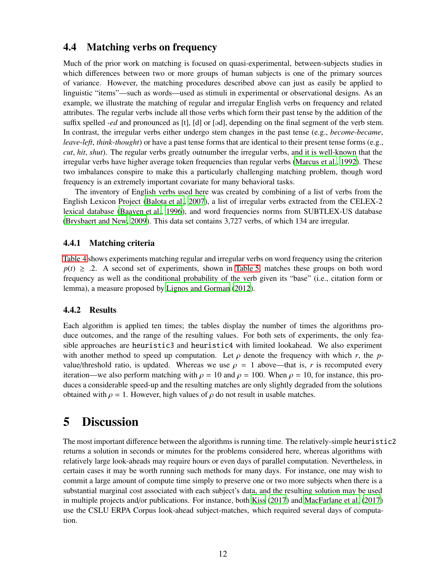### 4.4 Matching verbs on frequency

Much of the prior work on matching is focused on quasi-experimental, between-subjects studies in which differences between two or more groups of human subjects is one of the primary sources of variance. However, the matching procedures described above can just as easily be applied to linguistic "items"—such as words—used as stimuli in experimental or observational designs. As an example, we illustrate the matching of regular and irregular English verbs on frequency and related attributes. The regular verbs include all those verbs which form their past tense by the addition of the suffix spelled *-ed* and pronounced as [t], [d] or [əd], depending on the final segment of the verb stem. In contrast, the irregular verbs either undergo stem changes in the past tense (e.g., *become*-*became*, *leave*-*left*, *think*-*thought*) or have a past tense forms that are identical to their present tense forms (e.g., *cut*, *hit*, *shut*). The regular verbs greatly outnumber the irregular verbs, and it is well-known that the irregular verbs have higher average token frequencies than regular verbs [\(Marcus et al.](#page-15-16), [1992](#page-15-16)). These two imbalances conspire to make this a particularly challenging matching problem, though word frequency is an extremely important covariate for many behavioral tasks.

The inventory of English verbs used here was created by combining of a list of verbs from the English Lexicon Project [\(Balota et al.](#page-14-14), [2007](#page-14-14)), a list of irregular verbs extracted from the CELEX-2 lexical database [\(Baayen et al.](#page-13-2), [1996\)](#page-13-2), and word frequencies norms from SUBTLEX-US database [\(Brysbaert and New](#page-14-15), [2009](#page-14-15)). This data set contains 3,727 verbs, of which 134 are irregular.

#### 4.4.1 Matching criteria

[Table 4](#page-12-0) shows experiments matching regular and irregular verbs on word frequency using the criterion  $p(t) \geq 0.2$ . A second set of experiments, shown in [Table 5,](#page-12-1) matches these groups on both word frequency as well as the conditional probability of the verb given its "base" (i.e., citation form or lemma), a measure proposed by [Lignos and Gorman \(2012](#page-15-17)).

#### 4.4.2 Results

Each algorithm is applied ten times; the tables display the number of times the algorithms produce outcomes, and the range of the resulting values. For both sets of experiments, the only feasible approaches are heuristic3 and heuristic4 with limited lookahead. We also experiment with another method to speed up computation. Let  $\rho$  denote the frequency with which *r*, the *p*value/threshold ratio, is updated. Whereas we use  $\rho = 1$  above—that is, *r* is recomputed every iteration—we also perform matching with  $\rho = 10$  and  $\rho = 100$ . When  $\rho = 10$ , for instance, this produces a considerable speed-up and the resulting matches are only slightly degraded from the solutions obtained with  $\rho = 1$ . However, high values of  $\rho$  do not result in usable matches.

## 5 Discussion

The most important difference between the algorithms is running time. The relatively-simple heuristic2 returns a solution in seconds or minutes for the problems considered here, whereas algorithms with relatively large look-aheads may require hours or even days of parallel computation. Nevertheless, in certain cases it may be worth running such methods for many days. For instance, one may wish to commit a large amount of compute time simply to preserve one or two more subjects when there is a substantial marginal cost associated with each subject's data, and the resulting solution may be used in multiple projects and/or publications. For instance, both [Kiss \(2017](#page-15-14)) and [MacFarlane et al. \(2017](#page-15-13)) use the CSLU ERPA Corpus look-ahead subject-matches, which required several days of computation.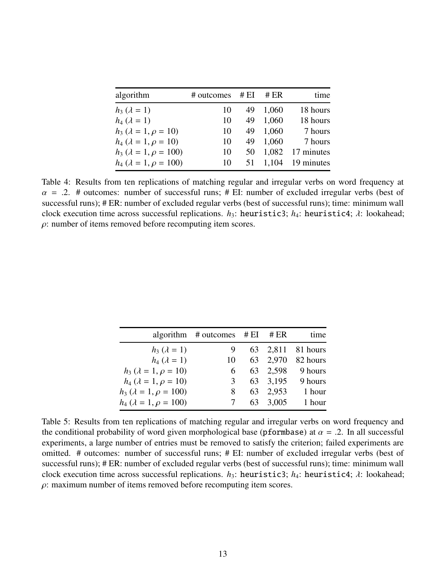| algorithm                           | # outcomes | # $EI$ | # $ER$ | time               |
|-------------------------------------|------------|--------|--------|--------------------|
| $h_3 (\lambda = 1)$                 | 10         | 49     | 1,060  | 18 hours           |
| $h_4 (\lambda = 1)$                 | 10         | 49     | 1,060  | 18 hours           |
| $h_3$ ( $\lambda = 1, \rho = 10$ )  | 10         | 49     | 1,060  | 7 hours            |
| $h_4$ ( $\lambda = 1, \rho = 10$ )  | 10         | 49     | 1,060  | 7 hours            |
| $h_3$ ( $\lambda = 1, \rho = 100$ ) | 10         | 50     | 1,082  | 17 minutes         |
| $h_4$ ( $\lambda = 1, \rho = 100$ ) | 10         | 51     |        | $1,104$ 19 minutes |
|                                     |            |        |        |                    |

<span id="page-12-0"></span>Table 4: Results from ten replications of matching regular and irregular verbs on word frequency at  $\alpha$  = .2. # outcomes: number of successful runs; # EI: number of excluded irregular verbs (best of successful runs); # ER: number of excluded regular verbs (best of successful runs); time: minimum wall clock execution time across successful replications. *h*<sub>3</sub>: heuristic3; *h*<sub>4</sub>: heuristic4; *λ*: lookahead;  $\rho$ : number of items removed before recomputing item scores.

|                                     | algorithm $\#$ outcomes $\#$ EI |    | # $ER$   | time              |
|-------------------------------------|---------------------------------|----|----------|-------------------|
| $h_3 (\lambda = 1)$                 | 9                               |    |          | 63 2,811 81 hours |
| $h_4$ ( $\lambda = 1$ )             | 10                              |    | 63 2,970 | 82 hours          |
| $h_3$ ( $\lambda = 1, \rho = 10$ )  | 6                               |    | 63 2,598 | 9 hours           |
| $h_4$ ( $\lambda = 1, \rho = 10$ )  | 3                               |    | 63 3.195 | 9 hours           |
| $h_3$ ( $\lambda = 1, \rho = 100$ ) | 8                               | 63 | 2.953    | 1 hour            |
| $h_4$ ( $\lambda = 1, \rho = 100$ ) |                                 | 63 | 3,005    | 1 hour            |

<span id="page-12-1"></span>Table 5: Results from ten replications of matching regular and irregular verbs on word frequency and the conditional probability of word given morphological base (pformbase) at  $\alpha = .2$ . In all successful experiments, a large number of entries must be removed to satisfy the criterion; failed experiments are omitted. # outcomes: number of successful runs; # EI: number of excluded irregular verbs (best of successful runs); # ER: number of excluded regular verbs (best of successful runs); time: minimum wall clock execution time across successful replications. *h*<sub>3</sub>: heuristic3; *h*<sub>4</sub>: heuristic4; *λ*: lookahead;  $\rho$ : maximum number of items removed before recomputing item scores.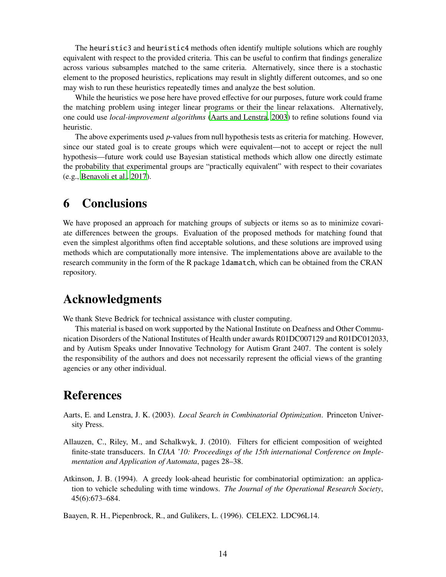The heuristic3 and heuristic4 methods often identify multiple solutions which are roughly equivalent with respect to the provided criteria. This can be useful to confirm that findings generalize across various subsamples matched to the same criteria. Alternatively, since there is a stochastic element to the proposed heuristics, replications may result in slightly different outcomes, and so one may wish to run these heuristics repeatedly times and analyze the best solution.

While the heuristics we pose here have proved effective for our purposes, future work could frame the matching problem using integer linear programs or their the linear relaxations. Alternatively, one could use *local-improvement algorithms* [\(Aarts and Lenstra](#page-13-3), [2003](#page-13-3)) to refine solutions found via heuristic.

The above experiments used *p*-values from null hypothesis tests as criteria for matching. However, since our stated goal is to create groups which were equivalent—not to accept or reject the null hypothesis—future work could use Bayesian statistical methods which allow one directly estimate the probability that experimental groups are "practically equivalent" with respect to their covariates (e.g., [Benavoli et al.](#page-14-16), [2017](#page-14-16)).

## 6 Conclusions

We have proposed an approach for matching groups of subjects or items so as to minimize covariate differences between the groups. Evaluation of the proposed methods for matching found that even the simplest algorithms often find acceptable solutions, and these solutions are improved using methods which are computationally more intensive. The implementations above are available to the research community in the form of the R package ldamatch, which can be obtained from the CRAN repository.

## Acknowledgments

We thank Steve Bedrick for technical assistance with cluster computing.

This material is based on work supported by the National Institute on Deafness and Other Communication Disorders of the National Institutes of Health under awards R01DC007129 and R01DC012033, and by Autism Speaks under Innovative Technology for Autism Grant 2407. The content is solely the responsibility of the authors and does not necessarily represent the official views of the granting agencies or any other individual.

## References

- <span id="page-13-3"></span>Aarts, E. and Lenstra, J. K. (2003). *Local Search in Combinatorial Optimization*. Princeton University Press.
- <span id="page-13-1"></span>Allauzen, C., Riley, M., and Schalkwyk, J. (2010). Filters for efficient composition of weighted finite-state transducers. In *CIAA '10: Proceedings of the 15th international Conference on Implementation and Application of Automata*, pages 28–38.
- <span id="page-13-0"></span>Atkinson, J. B. (1994). A greedy look-ahead heuristic for combinatorial optimization: an application to vehicle scheduling with time windows. *The Journal of the Operational Research Society*, 45(6):673–684.

<span id="page-13-2"></span>Baayen, R. H., Piepenbrock, R., and Gulikers, L. (1996). CELEX2. LDC96L14.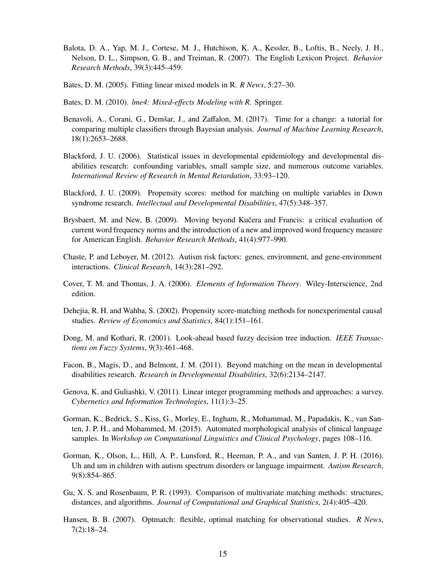- <span id="page-14-14"></span>Balota, D. A., Yap, M. J., Cortese, M. J., Hutchison, K. A., Kessler, B., Loftis, B., Neely, J. H., Nelson, D. L., Simpson, G. B., and Treiman, R. (2007). The English Lexicon Project. *Behavior Research Methods*, 39(3):445–459.
- <span id="page-14-6"></span>Bates, D. M. (2005). Fitting linear mixed models in R. *R News*, 5:27–30.
- <span id="page-14-7"></span>Bates, D. M. (2010). *lme4: Mixed-e*ff*ects Modeling with R*. Springer.
- <span id="page-14-16"></span>Benavoli, A., Corani, G., Demšar, J., and Zaffalon, M. (2017). Time for a change: a tutorial for comparing multiple classifiers through Bayesian analysis. *Journal of Machine Learning Research*, 18(1):2653–2688.
- <span id="page-14-4"></span>Blackford, J. U. (2006). Statistical issues in developmental epidemiology and developmental disabilities research: confounding variables, small sample size, and numerous outcome variables. *International Review of Research in Mental Retardation*, 33:93–120.
- <span id="page-14-0"></span>Blackford, J. U. (2009). Propensity scores: method for matching on multiple variables in Down syndrome research. *Intellectual and Developmental Disabilities*, 47(5):348–357.
- <span id="page-14-15"></span>Brysbaert, M. and New, B. (2009). Moving beyond Kučera and Francis: a critical evaluation of current word frequency norms and the introduction of a new and improved word frequency measure for American English. *Behavior Research Methods*, 41(4):977–990.
- <span id="page-14-5"></span>Chaste, P. and Leboyer, M. (2012). Autism risk factors: genes, environment, and gene-environment interactions. *Clinical Research*, 14(3):281–292.
- <span id="page-14-10"></span>Cover, T. M. and Thomas, J. A. (2006). *Elements of Information Theory*. Wiley-Interscience, 2nd edition.
- <span id="page-14-3"></span>Dehejia, R. H. and Wahba, S. (2002). Propensity score-matching methods for nonexperimental causal studies. *Review of Economics and Statistics*, 84(1):151–161.
- <span id="page-14-9"></span>Dong, M. and Kothari, R. (2001). Look-ahead based fuzzy decision tree induction. *IEEE Transactions on Fuzzy Systems*, 9(3):461–468.
- <span id="page-14-11"></span>Facon, B., Magis, D., and Belmont, J. M. (2011). Beyond matching on the mean in developmental disabilities research. *Research in Developmental Disabilities*, 32(6):2134–2147.
- <span id="page-14-8"></span>Genova, K. and Guliashki, V. (2011). Linear integer programming methods and approaches: a survey. *Cybernetics and Information Technologies*, 11(1):3–25.
- <span id="page-14-12"></span>Gorman, K., Bedrick, S., Kiss, G., Morley, E., Ingham, R., Mohammad, M., Papadakis, K., van Santen, J. P. H., and Mohammed, M. (2015). Automated morphological analysis of clinical language samples. In *Workshop on Computational Linguistics and Clinical Psychology*, pages 108–116.
- <span id="page-14-13"></span>Gorman, K., Olson, L., Hill, A. P., Lunsford, R., Heeman, P. A., and van Santen, J. P. H. (2016). Uh and um in children with autism spectrum disorders or language impairment. *Autism Research*, 9(8):854–865.
- <span id="page-14-1"></span>Gu, X. S. and Rosenbaum, P. R. (1993). Comparison of multivariate matching methods: structures, distances, and algorithms. *Journal of Computational and Graphical Statistics*, 2(4):405–420.
- <span id="page-14-2"></span>Hansen, B. B. (2007). Optmatch: flexible, optimal matching for observational studies. *R News*, 7(2):18–24.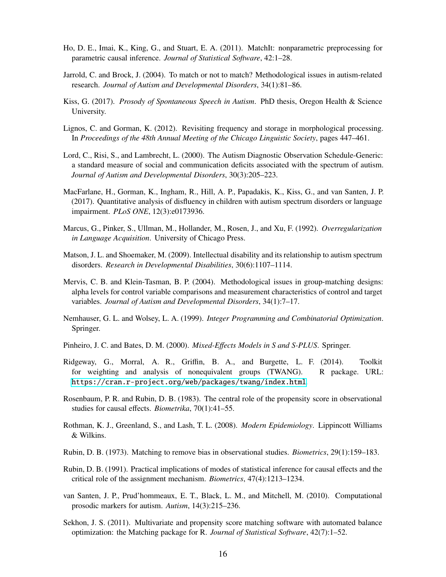- <span id="page-15-3"></span>Ho, D. E., Imai, K., King, G., and Stuart, E. A. (2011). MatchIt: nonparametric preprocessing for parametric causal inference. *Journal of Statistical Software*, 42:1–28.
- <span id="page-15-0"></span>Jarrold, C. and Brock, J. (2004). To match or not to match? Methodological issues in autism-related research. *Journal of Autism and Developmental Disorders*, 34(1):81–86.
- <span id="page-15-14"></span>Kiss, G. (2017). *Prosody of Spontaneous Speech in Autism*. PhD thesis, Oregon Health & Science University.
- <span id="page-15-17"></span>Lignos, C. and Gorman, K. (2012). Revisiting frequency and storage in morphological processing. In *Proceedings of the 48th Annual Meeting of the Chicago Linguistic Society*, pages 447–461.
- <span id="page-15-15"></span>Lord, C., Risi, S., and Lambrecht, L. (2000). The Autism Diagnostic Observation Schedule-Generic: a standard measure of social and communication deficits associated with the spectrum of autism. *Journal of Autism and Developmental Disorders*, 30(3):205–223.
- <span id="page-15-13"></span>MacFarlane, H., Gorman, K., Ingham, R., Hill, A. P., Papadakis, K., Kiss, G., and van Santen, J. P. (2017). Quantitative analysis of disfluency in children with autism spectrum disorders or language impairment. *PLoS ONE*, 12(3):e0173936.
- <span id="page-15-16"></span>Marcus, G., Pinker, S., Ullman, M., Hollander, M., Rosen, J., and Xu, F. (1992). *Overregularization in Language Acquisition*. University of Chicago Press.
- <span id="page-15-8"></span>Matson, J. L. and Shoemaker, M. (2009). Intellectual disability and its relationship to autism spectrum disorders. *Research in Developmental Disabilities*, 30(6):1107–1114.
- <span id="page-15-9"></span>Mervis, C. B. and Klein-Tasman, B. P. (2004). Methodological issues in group-matching designs: alpha levels for control variable comparisons and measurement characteristics of control and target variables. *Journal of Autism and Developmental Disorders*, 34(1):7–17.
- <span id="page-15-11"></span>Nemhauser, G. L. and Wolsey, L. A. (1999). *Integer Programming and Combinatorial Optimization*. Springer.
- <span id="page-15-10"></span>Pinheiro, J. C. and Bates, D. M. (2000). *Mixed-E*ff*ects Models in S and S-PLUS*. Springer.
- <span id="page-15-5"></span>Ridgeway, G., Morral, A. R., Griffin, B. A., and Burgette, L. F. (2014). Toolkit for weighting and analysis of nonequivalent groups (TWANG). R package. URL: <https://cran.r-project.org/web/packages/twang/index.html>.
- <span id="page-15-2"></span>Rosenbaum, P. R. and Rubin, D. B. (1983). The central role of the propensity score in observational studies for causal effects. *Biometrika*, 70(1):41–55.
- <span id="page-15-7"></span>Rothman, K. J., Greenland, S., and Lash, T. L. (2008). *Modern Epidemiology*. Lippincott Williams & Wilkins.
- <span id="page-15-1"></span>Rubin, D. B. (1973). Matching to remove bias in observational studies. *Biometrics*, 29(1):159–183.
- <span id="page-15-6"></span>Rubin, D. B. (1991). Practical implications of modes of statistical inference for causal effects and the critical role of the assignment mechanism. *Biometrics*, 47(4):1213–1234.
- <span id="page-15-12"></span>van Santen, J. P., Prud'hommeaux, E. T., Black, L. M., and Mitchell, M. (2010). Computational prosodic markers for autism. *Autism*, 14(3):215–236.
- <span id="page-15-4"></span>Sekhon, J. S. (2011). Multivariate and propensity score matching software with automated balance optimization: the Matching package for R. *Journal of Statistical Software*, 42(7):1–52.